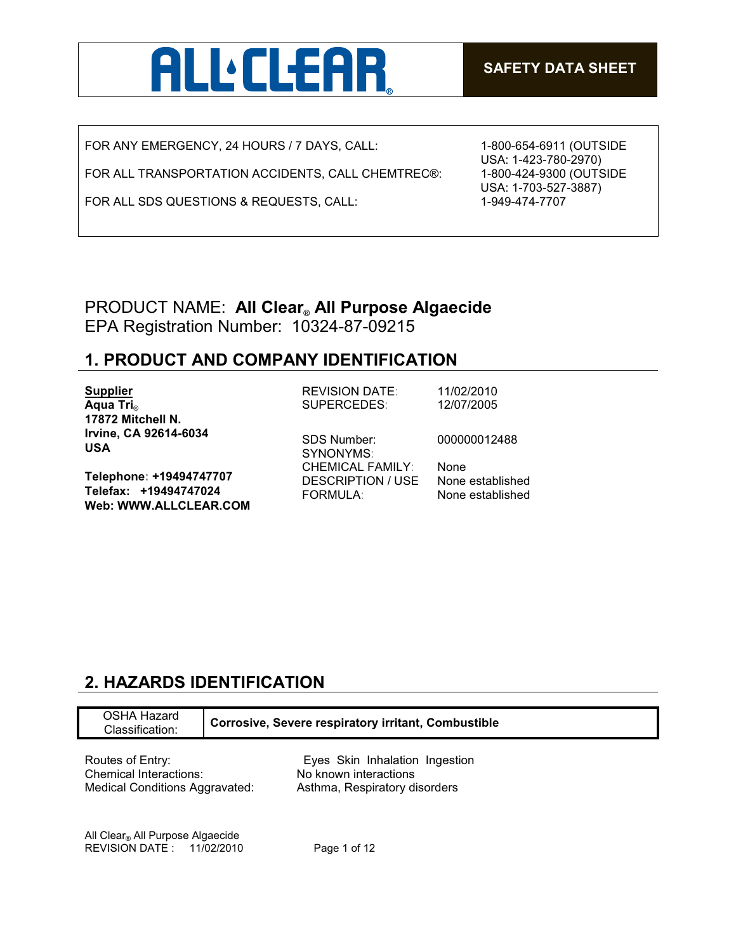

FOR ANY EMERGENCY, 24 HOURS / 7 DAYS, CALL:

FOR ALL TRANSPORTATION ACCIDENTS, CALL CHEMTREC®:

FOR ALL SDS QUESTIONS & REQUESTS, CALL:

1-800-654-6911 (OUTSIDE USA: 1-423-780-2970) 1-800-424-9300 (OUTSIDE USA: 1-703-527-3887) 1-949-474-7707

## PRODUCT NAME: **All Clear**® **All Purpose Algaecide** EPA Registration Number: 10324-87-09215

## **1. PRODUCT AND COMPANY IDENTIFICATION**

| <b>Supplier</b><br>Aqua Tri <sub>®</sub><br>17872 Mitchell N.             | <b>REVISION DATE:</b><br>SUPERCEDES:                       | 11/02/2010<br>12/07/2005             |
|---------------------------------------------------------------------------|------------------------------------------------------------|--------------------------------------|
| Irvine, CA 92614-6034<br><b>USA</b>                                       | <b>SDS Number:</b><br>SYNONYMS:<br><b>CHEMICAL FAMILY:</b> | 000000012488<br><b>None</b>          |
| Telephone: +19494747707<br>Telefax: +19494747024<br>Web: WWW.ALLCLEAR.COM | <b>DESCRIPTION / USE</b><br><b>FORMULA:</b>                | None established<br>None established |

## **2. HAZARDS IDENTIFICATION**

| OSHA Hazard<br>Classification:               | <b>Corrosive, Severe respiratory irritant, Combustible</b> |  |
|----------------------------------------------|------------------------------------------------------------|--|
| Routes of Entry:                             | Eyes Skin Inhalation Ingestion                             |  |
| Chemical Interactions:                       | No known interactions                                      |  |
| Medical Conditions Aggravated:               | Asthma, Respiratory disorders                              |  |
| All Clear <sub>®</sub> All Purpose Algaecide | 11/02/2010                                                 |  |
| <b>REVISION DATE:</b>                        | Page 1 of 12                                               |  |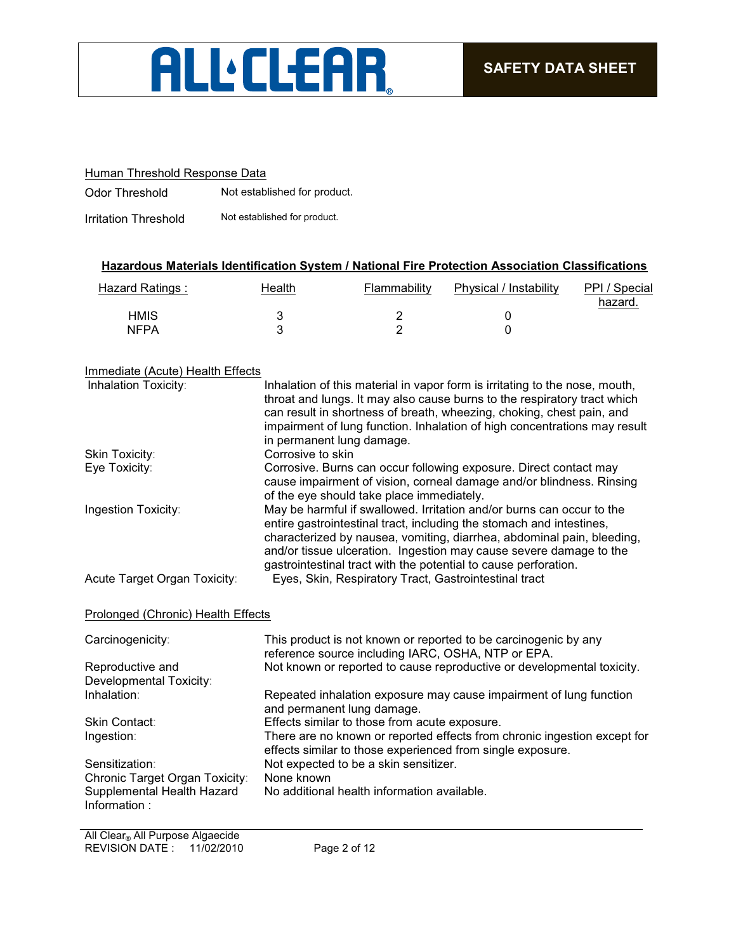

#### Human Threshold Response Data

Odor Threshold Not established for product.

Irritation Threshold Not established for product.

### **Hazardous Materials Identification System / National Fire Protection Association Classifications**

| Hazard Ratings : | Health | Flammability | Physical / Instability | PPI / Special<br>hazard. |
|------------------|--------|--------------|------------------------|--------------------------|
| <b>HMIS</b>      |        |              |                        |                          |
| <b>NFPA</b>      |        |              |                        |                          |

#### Immediate (Acute) Health Effects

| Inhalation Toxicity:               | Inhalation of this material in vapor form is irritating to the nose, mouth,<br>throat and lungs. It may also cause burns to the respiratory tract which<br>can result in shortness of breath, wheezing, choking, chest pain, and                                                                                                                                 |
|------------------------------------|------------------------------------------------------------------------------------------------------------------------------------------------------------------------------------------------------------------------------------------------------------------------------------------------------------------------------------------------------------------|
|                                    | impairment of lung function. Inhalation of high concentrations may result<br>in permanent lung damage.                                                                                                                                                                                                                                                           |
| Skin Toxicity:                     | Corrosive to skin                                                                                                                                                                                                                                                                                                                                                |
| Eye Toxicity:                      | Corrosive. Burns can occur following exposure. Direct contact may<br>cause impairment of vision, corneal damage and/or blindness. Rinsing<br>of the eye should take place immediately.                                                                                                                                                                           |
| Ingestion Toxicity:                | May be harmful if swallowed. Irritation and/or burns can occur to the<br>entire gastrointestinal tract, including the stomach and intestines,<br>characterized by nausea, vomiting, diarrhea, abdominal pain, bleeding,<br>and/or tissue ulceration. Ingestion may cause severe damage to the<br>gastrointestinal tract with the potential to cause perforation. |
| Acute Target Organ Toxicity:       | Eyes, Skin, Respiratory Tract, Gastrointestinal tract                                                                                                                                                                                                                                                                                                            |
| Prolonged (Chronic) Health Effects |                                                                                                                                                                                                                                                                                                                                                                  |
| Carcinogenicity:                   | This product is not known or reported to be carcinogenic by any<br>reference source including IARC, OSHA, NTP or EPA.                                                                                                                                                                                                                                            |
| Reproductive and                   | Not known or reported to cause reproductive or developmental toxicity.                                                                                                                                                                                                                                                                                           |

Developmental Toxicity:<br>Inhalation: Repeated inhalation exposure may cause impairment of lung function and permanent lung damage. Skin Contact: Effects similar to those from acute exposure.<br>
Ingestion: There are no known or reported effects from our There are no known or reported effects from chronic ingestion except for effects similar to those experienced from single exposure. Sensitization: Not expected to be a skin sensitizer. Chronic Target Organ Toxicity: None known Supplemental Health Hazard Information : No additional health information available.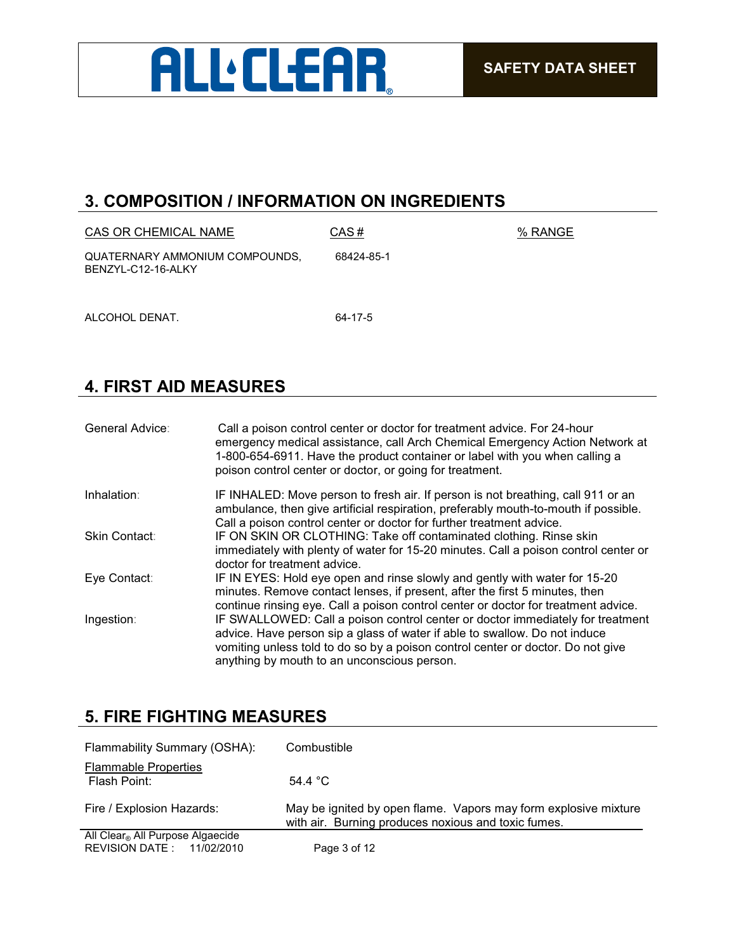

## **3. COMPOSITION / INFORMATION ON INGREDIENTS**

| CAS OR CHEMICAL NAME                                 | CAS#       | % RANGE |
|------------------------------------------------------|------------|---------|
| QUATERNARY AMMONIUM COMPOUNDS,<br>BENZYL-C12-16-ALKY | 68424-85-1 |         |
| ALCOHOL DENAT.                                       | 64-17-5    |         |

## **4. FIRST AID MEASURES**

| General Advice:      | Call a poison control center or doctor for treatment advice. For 24-hour<br>emergency medical assistance, call Arch Chemical Emergency Action Network at<br>1-800-654-6911. Have the product container or label with you when calling a<br>poison control center or doctor, or going for treatment. |
|----------------------|-----------------------------------------------------------------------------------------------------------------------------------------------------------------------------------------------------------------------------------------------------------------------------------------------------|
| Inhalation:          | IF INHALED: Move person to fresh air. If person is not breathing, call 911 or an<br>ambulance, then give artificial respiration, preferably mouth-to-mouth if possible.<br>Call a poison control center or doctor for further treatment advice.                                                     |
| <b>Skin Contact:</b> | IF ON SKIN OR CLOTHING: Take off contaminated clothing. Rinse skin<br>immediately with plenty of water for 15-20 minutes. Call a poison control center or<br>doctor for treatment advice.                                                                                                           |
| Eye Contact:         | IF IN EYES: Hold eye open and rinse slowly and gently with water for 15-20<br>minutes. Remove contact lenses, if present, after the first 5 minutes, then<br>continue rinsing eye. Call a poison control center or doctor for treatment advice.                                                     |
| Ingestion:           | IF SWALLOWED: Call a poison control center or doctor immediately for treatment<br>advice. Have person sip a glass of water if able to swallow. Do not induce<br>vomiting unless told to do so by a poison control center or doctor. Do not give<br>anything by mouth to an unconscious person.      |

## **5. FIRE FIGHTING MEASURES**

| Flammability Summary (OSHA):                                              | Combustible                                                                                                            |
|---------------------------------------------------------------------------|------------------------------------------------------------------------------------------------------------------------|
| <b>Flammable Properties</b><br>Flash Point:                               | 54.4 $^{\circ}$ C                                                                                                      |
| Fire / Explosion Hazards:                                                 | May be ignited by open flame. Vapors may form explosive mixture<br>with air. Burning produces noxious and toxic fumes. |
| All Clear <sub>®</sub> All Purpose Algaecide<br>REVISION DATE: 11/02/2010 | Page 3 of 12                                                                                                           |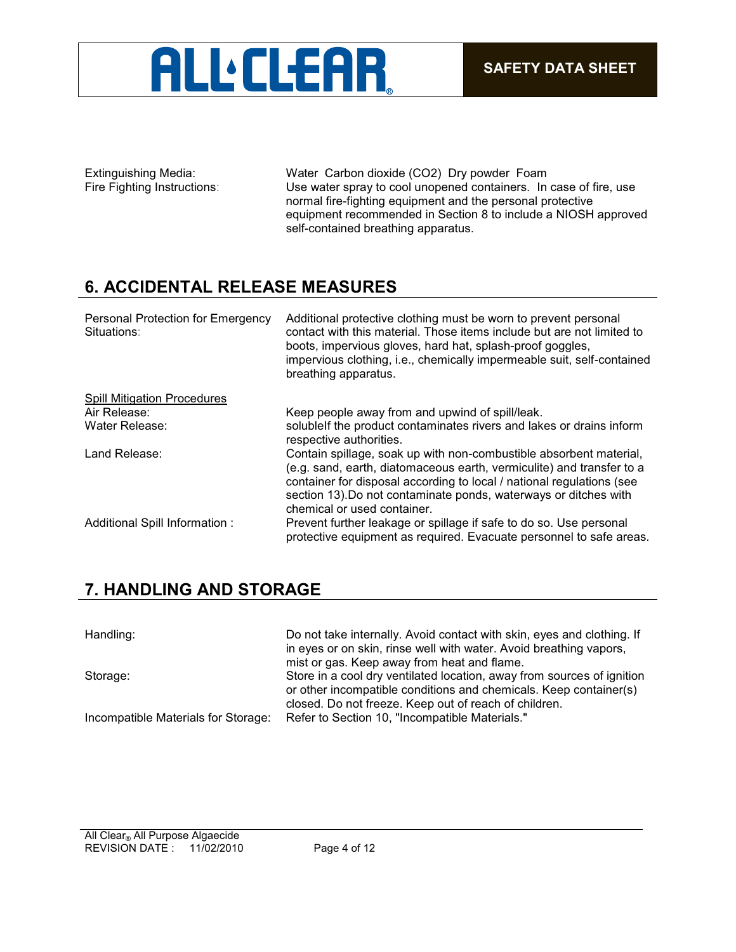

Extinguishing Media: Water Carbon dioxide (CO2) Dry powder Foam Fire Fighting Instructions: Use water spray to cool unopened containers. In case of fire, use normal fire-fighting equipment and the personal protective equipment recommended in Section 8 to include a NIOSH approved self-contained breathing apparatus.

## **6. ACCIDENTAL RELEASE MEASURES**

| Personal Protection for Emergency<br>Situations: | Additional protective clothing must be worn to prevent personal<br>contact with this material. Those items include but are not limited to<br>boots, impervious gloves, hard hat, splash-proof goggles,<br>impervious clothing, i.e., chemically impermeable suit, self-contained<br>breathing apparatus.                |
|--------------------------------------------------|-------------------------------------------------------------------------------------------------------------------------------------------------------------------------------------------------------------------------------------------------------------------------------------------------------------------------|
| <b>Spill Mitigation Procedures</b>               |                                                                                                                                                                                                                                                                                                                         |
| Air Release:                                     | Keep people away from and upwind of spill/leak.                                                                                                                                                                                                                                                                         |
| Water Release:                                   | solublelf the product contaminates rivers and lakes or drains inform<br>respective authorities.                                                                                                                                                                                                                         |
| Land Release:                                    | Contain spillage, soak up with non-combustible absorbent material,<br>(e.g. sand, earth, diatomaceous earth, vermiculite) and transfer to a<br>container for disposal according to local / national regulations (see<br>section 13). Do not contaminate ponds, waterways or ditches with<br>chemical or used container. |
| Additional Spill Information :                   | Prevent further leakage or spillage if safe to do so. Use personal<br>protective equipment as required. Evacuate personnel to safe areas.                                                                                                                                                                               |

## **7. HANDLING AND STORAGE**

| Handling:                           | Do not take internally. Avoid contact with skin, eyes and clothing. If<br>in eyes or on skin, rinse well with water. Avoid breathing vapors,<br>mist or gas. Keep away from heat and flame.          |
|-------------------------------------|------------------------------------------------------------------------------------------------------------------------------------------------------------------------------------------------------|
| Storage:                            | Store in a cool dry ventilated location, away from sources of ignition<br>or other incompatible conditions and chemicals. Keep container(s)<br>closed. Do not freeze. Keep out of reach of children. |
| Incompatible Materials for Storage: | Refer to Section 10, "Incompatible Materials."                                                                                                                                                       |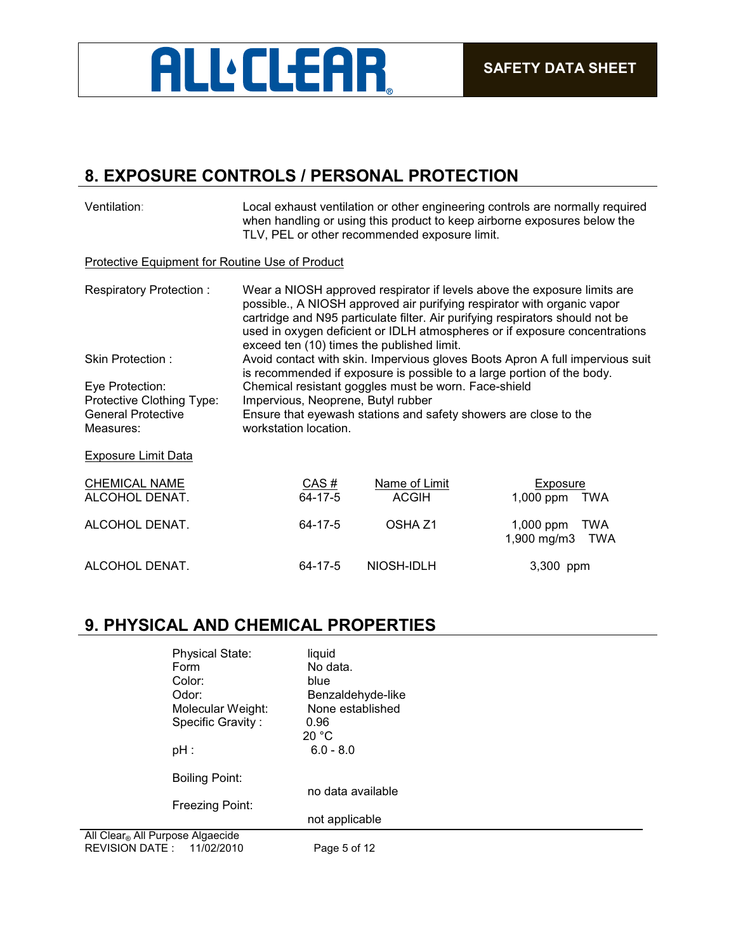

## **8. EXPOSURE CONTROLS / PERSONAL PROTECTION**

| Ventilation:                                                                           | Local exhaust ventilation or other engineering controls are normally required<br>when handling or using this product to keep airborne exposures below the<br>TLV, PEL or other recommended exposure limit. |                                            |                                                                                                                                                                                                                                                                                                                    |
|----------------------------------------------------------------------------------------|------------------------------------------------------------------------------------------------------------------------------------------------------------------------------------------------------------|--------------------------------------------|--------------------------------------------------------------------------------------------------------------------------------------------------------------------------------------------------------------------------------------------------------------------------------------------------------------------|
| Protective Equipment for Routine Use of Product                                        |                                                                                                                                                                                                            |                                            |                                                                                                                                                                                                                                                                                                                    |
| Respiratory Protection:                                                                |                                                                                                                                                                                                            | exceed ten (10) times the published limit. | Wear a NIOSH approved respirator if levels above the exposure limits are<br>possible., A NIOSH approved air purifying respirator with organic vapor<br>cartridge and N95 particulate filter. Air purifying respirators should not be<br>used in oxygen deficient or IDLH atmospheres or if exposure concentrations |
| Skin Protection:                                                                       | Avoid contact with skin. Impervious gloves Boots Apron A full impervious suit<br>is recommended if exposure is possible to a large portion of the body.                                                    |                                            |                                                                                                                                                                                                                                                                                                                    |
| Eye Protection:<br>Protective Clothing Type:<br><b>General Protective</b><br>Measures: | Chemical resistant goggles must be worn. Face-shield<br>Impervious, Neoprene, Butyl rubber<br>Ensure that eyewash stations and safety showers are close to the<br>workstation location.                    |                                            |                                                                                                                                                                                                                                                                                                                    |
| <b>Exposure Limit Data</b>                                                             |                                                                                                                                                                                                            |                                            |                                                                                                                                                                                                                                                                                                                    |
| <b>CHEMICAL NAME</b><br>ALCOHOL DENAT.                                                 | CAS#<br>64-17-5                                                                                                                                                                                            | Name of Limit<br><b>ACGIH</b>              | Exposure<br>$1,000$ ppm<br><b>TWA</b>                                                                                                                                                                                                                                                                              |
| ALCOHOL DENAT.                                                                         | 64-17-5                                                                                                                                                                                                    | OSHA Z1                                    | 1,000 ppm<br><b>TWA</b><br>1,900 mg/m3<br><b>TWA</b>                                                                                                                                                                                                                                                               |
| ALCOHOL DENAT.                                                                         | 64-17-5                                                                                                                                                                                                    | NIOSH-IDLH                                 | 3,300 ppm                                                                                                                                                                                                                                                                                                          |

## **9. PHYSICAL AND CHEMICAL PROPERTIES**

| <b>Physical State:</b><br>Form<br>Color:<br>Odor:<br>Molecular Weight:<br>Specific Gravity:<br>$pH$ : | liquid<br>No data.<br>blue<br>Benzaldehyde-like<br>None established<br>0.96<br>20 °C<br>$6.0 - 8.0$ |  |
|-------------------------------------------------------------------------------------------------------|-----------------------------------------------------------------------------------------------------|--|
| <b>Boiling Point:</b><br>Freezing Point:                                                              | no data available<br>not applicable                                                                 |  |
| All Clear <sub>®</sub> All Purpose Algaecide<br>REVISION DATE :<br>11/02/2010                         | Page 5 of 12                                                                                        |  |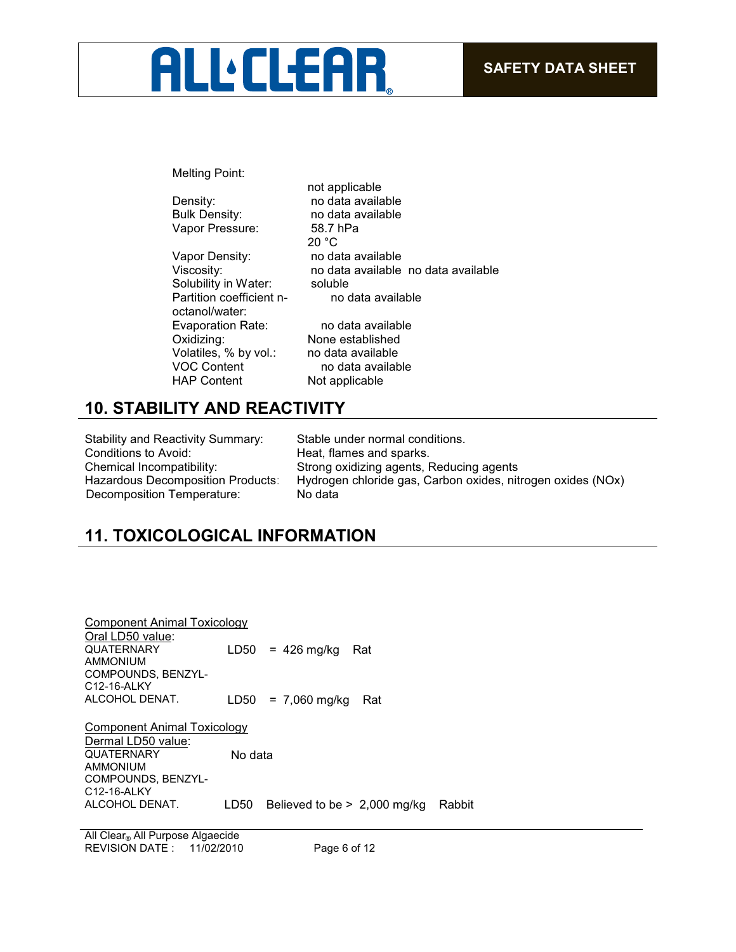# **ALL:CLEAR**

Melting Point:

Vapor Pressure: 58.7 hPa

Vapor Density: no data available Solubility in Water: Partition coefficient noctanol/water: Evaporation Rate: no data available Oxidizing: None established Volatiles, % by vol.: no data available<br>VOC Content no data available

not applicable Density: no data available Bulk Density: no data available 20 °C Viscosity: no data available no data available<br>Solubility in Water: soluble no data available

no data available HAP Content Not applicable

## **10. STABILITY AND REACTIVITY**

Stability and Reactivity Summary: Stable under normal conditions. Conditions to Avoid: Heat, flames and sparks. Decomposition Temperature: No data

Chemical Incompatibility: Strong oxidizing agents, Reducing agents Hazardous Decomposition Products: Hydrogen chloride gas, Carbon oxides, nitrogen oxides (NOx)

# **11. TOXICOLOGICAL INFORMATION**

| Component Animal Toxicology |         |                                          |
|-----------------------------|---------|------------------------------------------|
| Oral LD50 value:            |         |                                          |
| <b>QUATERNARY</b>           |         | $LD50 = 426$ mg/kg<br>Rat                |
| <b>AMMONIUM</b>             |         |                                          |
| COMPOUNDS, BENZYL-          |         |                                          |
| C12-16-ALKY                 |         |                                          |
| ALCOHOL DENAT.              |         | $LD50 = 7,060$ mg/kg<br>- Rat            |
| Component Animal Toxicology |         |                                          |
| Dermal LD50 value:          |         |                                          |
| <b>QUATERNARY</b>           | No data |                                          |
| <b>AMMONIUM</b>             |         |                                          |
| COMPOUNDS, BENZYL-          |         |                                          |
| C12-16-ALKY                 |         |                                          |
| ALCOHOL DENAT.              | LD50    | Believed to be $> 2,000$ mg/kg<br>Rabbit |

REVISION DATE : 11/02/2010 Page 6 of 12 All Clear<sub>®</sub> All Purpose Algaecide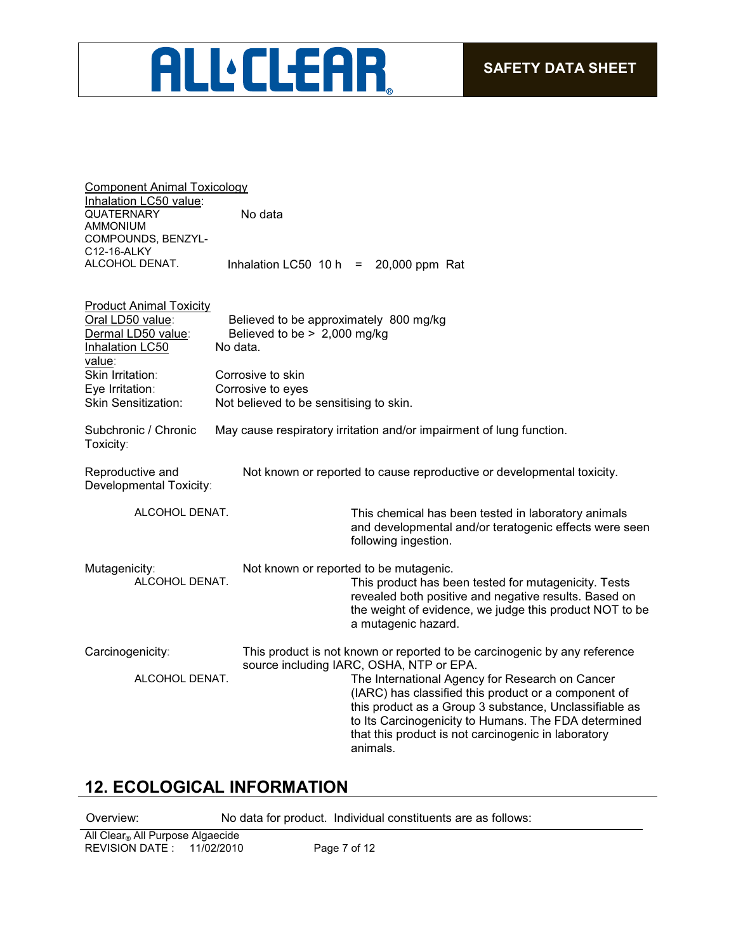# **ALL:CLEAR**

| <b>Component Animal Toxicology</b>                                                                    |                                                                                    |                                                                                                                                                                                                                                                                                                                                                                                                                       |
|-------------------------------------------------------------------------------------------------------|------------------------------------------------------------------------------------|-----------------------------------------------------------------------------------------------------------------------------------------------------------------------------------------------------------------------------------------------------------------------------------------------------------------------------------------------------------------------------------------------------------------------|
| Inhalation LC50 value:<br><b>QUATERNARY</b><br><b>AMMONIUM</b>                                        | No data                                                                            |                                                                                                                                                                                                                                                                                                                                                                                                                       |
| COMPOUNDS, BENZYL-<br>C12-16-ALKY<br>ALCOHOL DENAT.                                                   | Inhalation LC50 10 h                                                               | 20,000 ppm Rat<br>$=$                                                                                                                                                                                                                                                                                                                                                                                                 |
| <b>Product Animal Toxicity</b><br>Oral LD50 value:<br>Dermal LD50 value:<br>Inhalation LC50<br>value: | Believed to be approximately 800 mg/kg<br>Believed to be > 2,000 mg/kg<br>No data. |                                                                                                                                                                                                                                                                                                                                                                                                                       |
| Skin Irritation:<br>Eye Irritation:<br><b>Skin Sensitization:</b>                                     | Corrosive to skin<br>Corrosive to eyes<br>Not believed to be sensitising to skin.  |                                                                                                                                                                                                                                                                                                                                                                                                                       |
| Subchronic / Chronic<br>Toxicity:                                                                     |                                                                                    | May cause respiratory irritation and/or impairment of lung function.                                                                                                                                                                                                                                                                                                                                                  |
| Reproductive and<br>Developmental Toxicity:                                                           |                                                                                    | Not known or reported to cause reproductive or developmental toxicity.                                                                                                                                                                                                                                                                                                                                                |
| ALCOHOL DENAT.                                                                                        |                                                                                    | This chemical has been tested in laboratory animals<br>and developmental and/or teratogenic effects were seen<br>following ingestion.                                                                                                                                                                                                                                                                                 |
| Mutagenicity:<br>ALCOHOL DENAT.                                                                       |                                                                                    | Not known or reported to be mutagenic.<br>This product has been tested for mutagenicity. Tests<br>revealed both positive and negative results. Based on<br>the weight of evidence, we judge this product NOT to be<br>a mutagenic hazard.                                                                                                                                                                             |
| Carcinogenicity:<br>ALCOHOL DENAT.                                                                    |                                                                                    | This product is not known or reported to be carcinogenic by any reference<br>source including IARC, OSHA, NTP or EPA.<br>The International Agency for Research on Cancer<br>(IARC) has classified this product or a component of<br>this product as a Group 3 substance, Unclassifiable as<br>to Its Carcinogenicity to Humans. The FDA determined<br>that this product is not carcinogenic in laboratory<br>animals. |

## **12. ECOLOGICAL INFORMATION**

Overview: No data for product. Individual constituents are as follows: All Clear® All Purpose Algaecide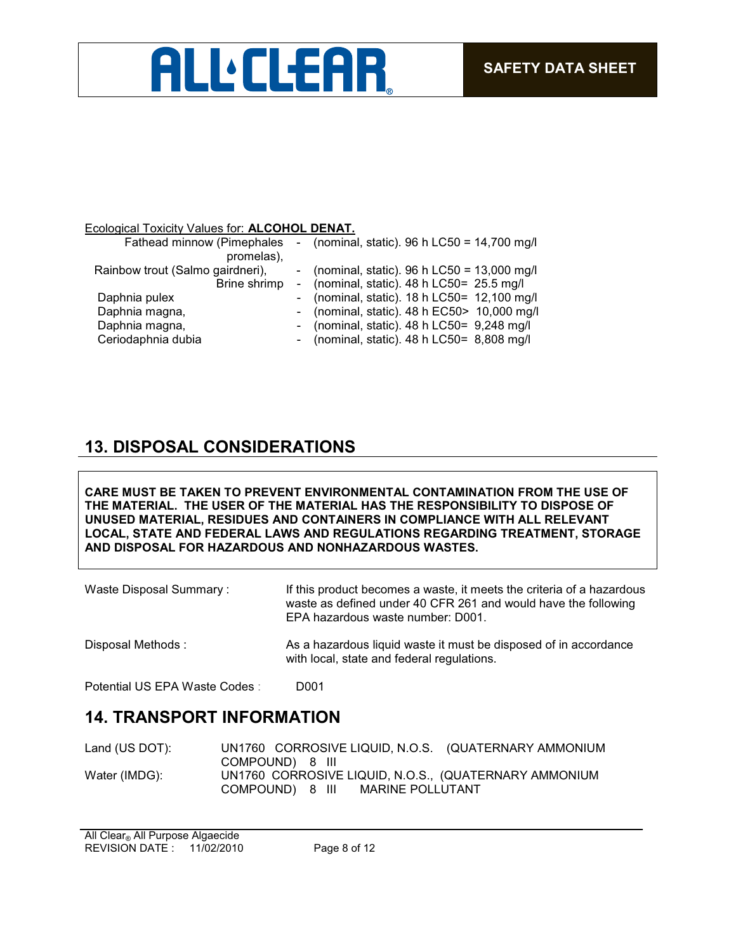# **ALL'CLEAR**

### Ecological Toxicity Values for: **ALCOHOL DENAT.**

| - (nominal, static). 96 h LC50 = $13,000$ mg/l                       | Fathead minnow (Pimephales<br>promelas), | - (nominal, static). 96 h LC50 = $14,700$ mg/l |  |
|----------------------------------------------------------------------|------------------------------------------|------------------------------------------------|--|
|                                                                      |                                          |                                                |  |
|                                                                      | Rainbow trout (Salmo gairdneri),         |                                                |  |
| - (nominal, static). $48 h$ LC50= $25.5$ mg/l<br>Brine shrimp        |                                          |                                                |  |
| - (nominal, static). 18 h LC50= 12,100 mg/l<br>Daphnia pulex         |                                          |                                                |  |
| - (nominal, static). $48 h$ EC50 > 10,000 mg/l<br>Daphnia magna,     |                                          |                                                |  |
| - (nominal, static). $48 h$ LC50= $9,248$ mg/l<br>Daphnia magna,     |                                          |                                                |  |
| Ceriodaphnia dubia<br>- (nominal, static). $48 h$ LC50= $8,808$ mg/l |                                          |                                                |  |

## **13. DISPOSAL CONSIDERATIONS**

**CARE MUST BE TAKEN TO PREVENT ENVIRONMENTAL CONTAMINATION FROM THE USE OF THE MATERIAL. THE USER OF THE MATERIAL HAS THE RESPONSIBILITY TO DISPOSE OF UNUSED MATERIAL, RESIDUES AND CONTAINERS IN COMPLIANCE WITH ALL RELEVANT LOCAL, STATE AND FEDERAL LAWS AND REGULATIONS REGARDING TREATMENT, STORAGE AND DISPOSAL FOR HAZARDOUS AND NONHAZARDOUS WASTES.** 

| Waste Disposal Summary:       | If this product becomes a waste, it meets the criteria of a hazardous<br>waste as defined under 40 CFR 261 and would have the following<br>EPA hazardous waste number: D001. |
|-------------------------------|------------------------------------------------------------------------------------------------------------------------------------------------------------------------------|
| Disposal Methods:             | As a hazardous liquid waste it must be disposed of in accordance<br>with local, state and federal regulations.                                                               |
| Potential US EPA Waste Codes: | D001                                                                                                                                                                         |

## **14. TRANSPORT INFORMATION**

| Land (US DOT): | UN1760 CORROSIVE LIQUID, N.O.S. (QUATERNARY AMMONIUM  |  |
|----------------|-------------------------------------------------------|--|
|                | COMPOUND) 8 III                                       |  |
| Water (IMDG):  | UN1760 CORROSIVE LIQUID, N.O.S., (QUATERNARY AMMONIUM |  |
|                | COMPOUND) 8 III<br>MARINE POLLUTANT                   |  |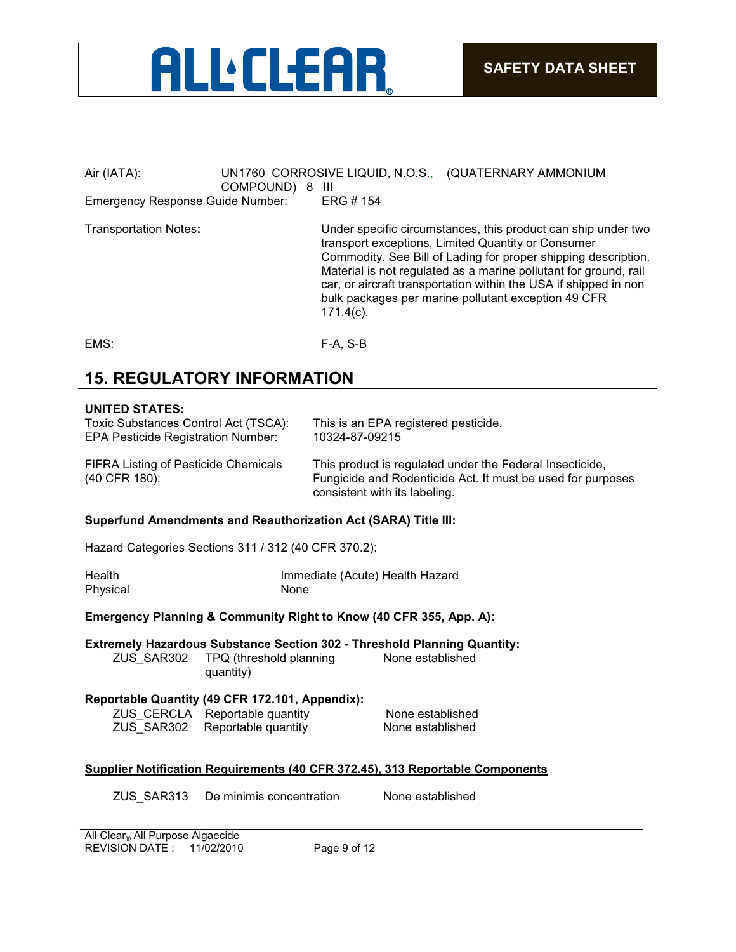

### Air (IATA): UN1760 CORROSIVE LIQUID, N.O.S., (QUATERNARY AMMONIUM COMPOUND) 8 III Emergency Response Guide Number: ERG # 154

Transportation Notes**:** Under specific circumstances, this product can ship under two transport exceptions, Limited Quantity or Consumer Commodity. See Bill of Lading for proper shipping description. Material is not regulated as a marine pollutant for ground, rail car, or aircraft transportation within the USA if shipped in non bulk packages per marine pollutant exception 49 CFR 171.4(c).

EMS: F-A, S-B

## **15. REGULATORY INFORMATION**

#### **UNITED STATES:**

| Toxic Substances Control Act (TSCA):                         | This is an EPA registered pesticide.                                                                                                                     |
|--------------------------------------------------------------|----------------------------------------------------------------------------------------------------------------------------------------------------------|
| <b>EPA Pesticide Registration Number:</b>                    | 10324-87-09215                                                                                                                                           |
| <b>FIFRA Listing of Pesticide Chemicals</b><br>(40 CFR 180): | This product is regulated under the Federal Insecticide,<br>Fungicide and Rodenticide Act. It must be used for purposes<br>consistent with its labeling. |

#### **Superfund Amendments and Reauthorization Act (SARA) Title III:**

Hazard Categories Sections 311 / 312 (40 CFR 370.2):

| Health   | Immediate (Acute) Health Hazard |
|----------|---------------------------------|
| Physical | None                            |

### **Emergency Planning & Community Right to Know (40 CFR 355, App. A):**

**Extremely Hazardous Substance Section 302 - Threshold Planning Quantity:** ZUS\_SAR302 TPQ (threshold planning None established

## quantity) **Reportable Quantity (49 CFR 172.101, Appendix):**

ZUS\_CERCLA Reportable quantity None established ZUS\_SAR302 Reportable quantity None established

### **Supplier Notification Requirements (40 CFR 372.45), 313 Reportable Components**

ZUS\_SAR313 De minimis concentration None established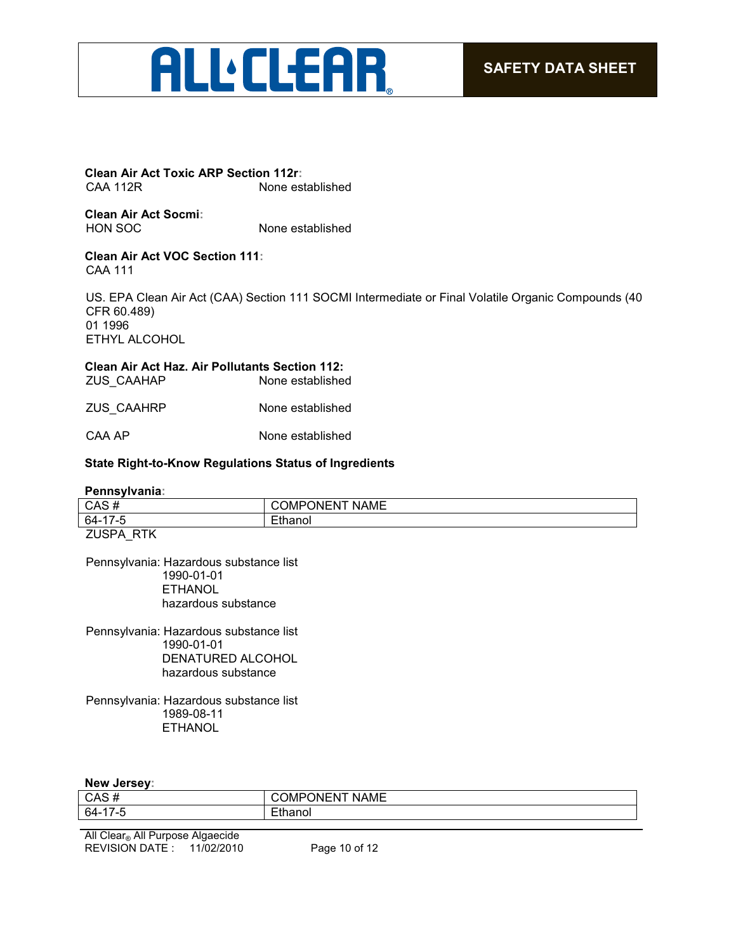# **ALLELEAR**

**Clean Air Act Toxic ARP Section 112r:** None established

**Clean Air Act Socmi:** HON SOC None established

#### **Clean Air Act VOC Section 111:** CAA 111

US. EPA Clean Air Act (CAA) Section 111 SOCMI Intermediate or Final Volatile Organic Compounds (40 CFR 60.489) 01 1996 ETHYL ALCOHOL

## **Clean Air Act Haz. Air Pollutants Section 112:**

ZUS\_CAAHAP None established

ZUS\_CAAHRP None established

CAA AP None established

### **State Right-to-Know Regulations Status of Ingredients**

#### **Pennsylvania:**

| $64-17$ | -                                 |
|---------|-----------------------------------|
| CAS#    | . <i>.</i><br>NAME<br>)N⊢N<br>лин |
|         |                                   |

ZUSPA\_RTK

Pennsylvania: Hazardous substance list 1990-01-01 ETHANOL hazardous substance

Pennsylvania: Hazardous substance list 1990-01-01 DENATURED ALCOHOL hazardous substance

Pennsylvania: Hazardous substance list 1989-08-11 ETHANOL

#### **New Jersey:**

| CAS <sub>h</sub> | . <i>.</i><br>)N⊢N<br><b>NAME</b><br>ີ |
|------------------|----------------------------------------|
| 64-              |                                        |
|                  |                                        |

REVISION DATE : 11/02/2010 Page 10 of 12 All Clear® All Purpose Algaecide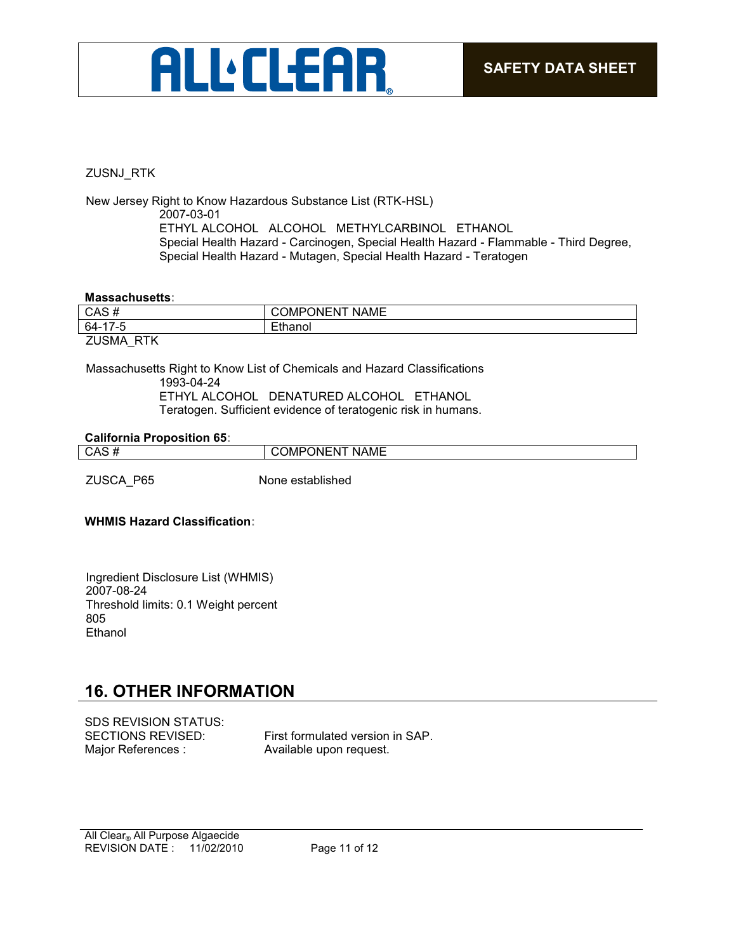

### ZUSNJ\_RTK

New Jersey Right to Know Hazardous Substance List (RTK-HSL) 2007-03-01 ETHYL ALCOHOL ALCOHOL METHYLCARBINOL ETHANOL Special Health Hazard - Carcinogen, Special Health Hazard - Flammable - Third Degree, Special Health Hazard - Mutagen, Special Health Hazard - Teratogen

#### **Massachusetts:**

| CAS#                       | <b>COMPONENT NAME</b> |
|----------------------------|-----------------------|
| 64-17-5                    | Ethanol               |
| <b>ZUSMA</b><br><b>RTK</b> |                       |

Massachusetts Right to Know List of Chemicals and Hazard Classifications 1993-04-24 ETHYL ALCOHOL DENATURED ALCOHOL ETHANOL Teratogen. Sufficient evidence of teratogenic risk in humans.

#### **California Proposition 65:**

| ∩∆⊂<br>ູບຕະ | <b>NAML</b><br>ווחנ<br>w |
|-------------|--------------------------|
|             |                          |

ZUSCA\_P65 None established

### **WHMIS Hazard Classification:**

Ingredient Disclosure List (WHMIS) 2007-08-24 Threshold limits: 0.1 Weight percent 805 Ethanol

## **16. OTHER INFORMATION**

| <b>SDS REVISION STATUS:</b> |                                  |
|-----------------------------|----------------------------------|
| SECTIONS REVISED:           | First formulated version in SAP. |
| Major References :          | Available upon request.          |